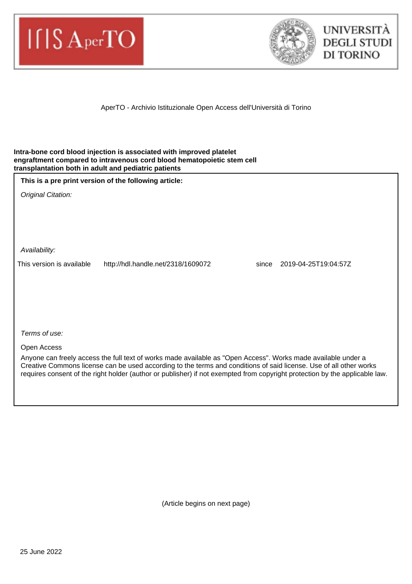



AperTO - Archivio Istituzionale Open Access dell'Università di Torino

#### **Intra-bone cord blood injection is associated with improved platelet engraftment compared to intravenous cord blood hematopoietic stem cell transplantation both in adult and pediatric patients**

|  |  |  | This is a pre print version of the following article: |
|--|--|--|-------------------------------------------------------|
|--|--|--|-------------------------------------------------------|

Original Citation:

Availability:

This version is available http://hdl.handle.net/2318/1609072 since 2019-04-25T19:04:57Z

Terms of use:

Open Access

Anyone can freely access the full text of works made available as "Open Access". Works made available under a Creative Commons license can be used according to the terms and conditions of said license. Use of all other works requires consent of the right holder (author or publisher) if not exempted from copyright protection by the applicable law.

(Article begins on next page)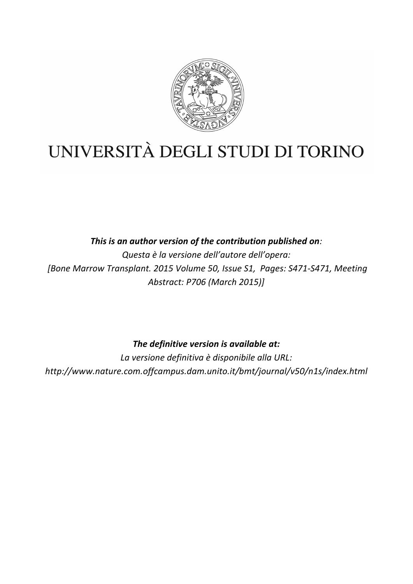

# UNIVERSITÀ DEGLI STUDI DI TORINO

This is an author version of the contribution published on: *Questa è la versione dell'autore dell'opera: [Bone Marrow Transplant. 2015 Volume 50, Issue S1, Pages: S471-S471, Meeting Abstract: P706 (March 2015)]*

The definitive version is available at:

La versione definitiva è disponibile alla URL: *http://www.nature.com.offcampus.dam.unito.it/bmt/journal/v50/n1s/index.html*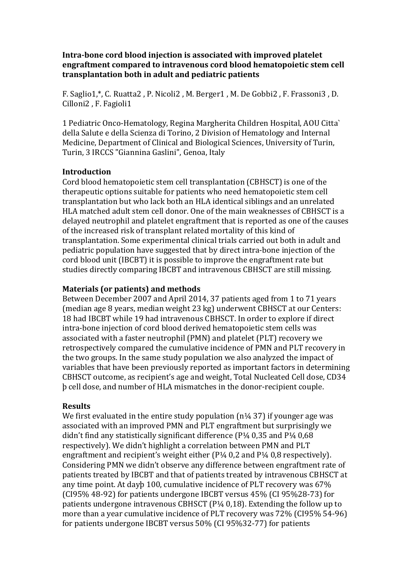**Intra-bone cord blood injection is associated with improved platelet engraftment compared to intravenous cord blood hematopoietic stem cell transplantation both in adult and pediatric patients**

F. Saglio1,\*, C. Ruatta2, P. Nicoli2, M. Berger1, M. De Gobbi2, F. Frassoni3, D. Cilloni2, F. Fagioli1

1 Pediatric Onco-Hematology, Regina Margherita Children Hospital, AOU Citta` della Salute e della Scienza di Torino, 2 Division of Hematology and Internal Medicine, Department of Clinical and Biological Sciences, University of Turin, Turin, 3 IRCCS "Giannina Gaslini", Genoa, Italy

### **Introduction**

Cord blood hematopoietic stem cell transplantation (CBHSCT) is one of the therapeutic options suitable for patients who need hematopoietic stem cell transplantation but who lack both an HLA identical siblings and an unrelated HLA matched adult stem cell donor. One of the main weaknesses of CBHSCT is a delayed neutrophil and platelet engraftment that is reported as one of the causes of the increased risk of transplant related mortality of this kind of transplantation. Some experimental clinical trials carried out both in adult and pediatric population have suggested that by direct intra-bone injection of the cord blood unit (IBCBT) it is possible to improve the engraftment rate but studies directly comparing IBCBT and intravenous CBHSCT are still missing.

### **Materials (or patients) and methods**

Between December 2007 and April 2014, 37 patients aged from 1 to 71 years (median age 8 years, median weight 23 kg) underwent CBHSCT at our Centers: 18 had IBCBT while 19 had intravenous CBHSCT. In order to explore if direct intra-bone injection of cord blood derived hematopoietic stem cells was associated with a faster neutrophil (PMN) and platelet (PLT) recovery we retrospectively compared the cumulative incidence of PMN and PLT recovery in the two groups. In the same study population we also analyzed the impact of variables that have been previously reported as important factors in determining CBHSCT outcome, as recipient's age and weight, Total Nucleated Cell dose, CD34 þ cell dose, and number of HLA mismatches in the donor-recipient couple. 

#### **Results**

We first evaluated in the entire study population  $(n\frac{1}{4} 37)$  if younger age was associated with an improved PMN and PLT engraftment but surprisingly we didn't find any statistically significant difference  $(P<sup>1/4</sup> 0.35$  and  $P<sup>1/4</sup> 0.68$ respectively). We didn't highlight a correlation between PMN and PLT engraftment and recipient's weight either  $(P_{44}^{14} 0, 2$  and  $P_{44}^{14} 0, 8$  respectively). Considering PMN we didn't observe any difference between engraftment rate of patients treated by IBCBT and that of patients treated by intravenous CBHSCT at any time point. At dayb 100, cumulative incidence of PLT recovery was 67% (CI95% 48-92) for patients undergone IBCBT versus  $45\%$  (CI 95%28-73) for patients undergone intravenous CBHSCT ( $P<sup>1</sup>/<sub>4</sub>$  0,18). Extending the follow up to more than a year cumulative incidence of PLT recovery was  $72\%$  (CI95% 54-96) for patients undergone IBCBT versus  $50\%$  (CI 95%32-77) for patients